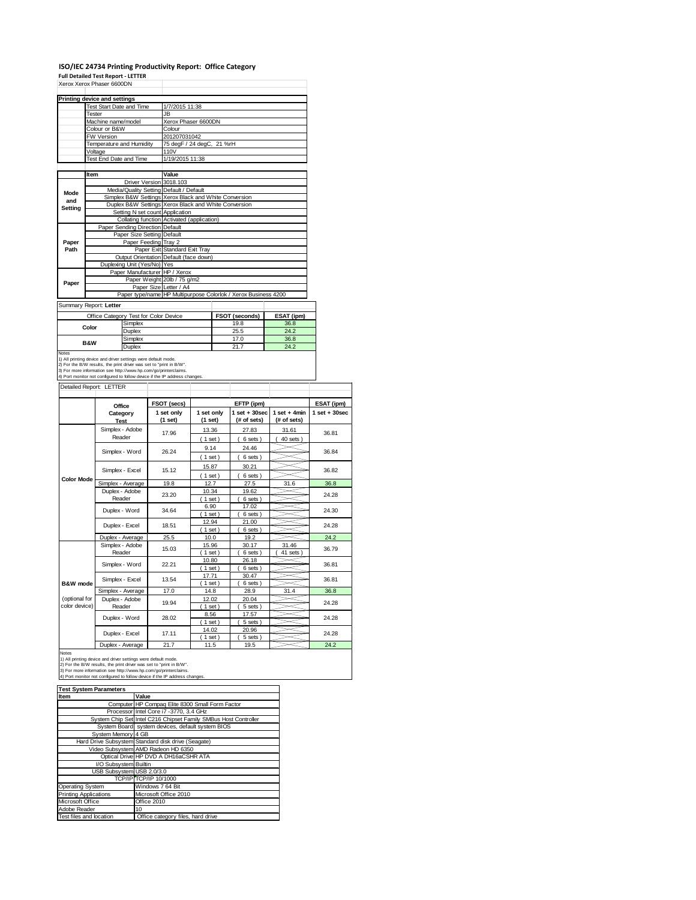### **ISO/IEC 24734 Printing Productivity Report: Office Category**

|                                                                            |        | <b>Printing device and settings</b>                                                                                                                                                                                                |                                     | 1/7/2015 11:38                                                                                                |                       |      |                                                                |                    |                   |
|----------------------------------------------------------------------------|--------|------------------------------------------------------------------------------------------------------------------------------------------------------------------------------------------------------------------------------------|-------------------------------------|---------------------------------------------------------------------------------------------------------------|-----------------------|------|----------------------------------------------------------------|--------------------|-------------------|
|                                                                            | Tester | Test Start Date and Time                                                                                                                                                                                                           |                                     | JB.                                                                                                           |                       |      |                                                                |                    |                   |
|                                                                            |        | Machine name/model                                                                                                                                                                                                                 |                                     | Xerox Phaser 6600DN                                                                                           |                       |      |                                                                |                    |                   |
|                                                                            |        | Colour or B&W                                                                                                                                                                                                                      |                                     | Colour                                                                                                        |                       |      |                                                                |                    |                   |
|                                                                            |        | FW Version                                                                                                                                                                                                                         |                                     | 201207031042                                                                                                  |                       |      |                                                                |                    |                   |
|                                                                            |        | Temperature and Humidity                                                                                                                                                                                                           |                                     | 75 degF / 24 degC, 21 %rH                                                                                     |                       |      |                                                                |                    |                   |
|                                                                            |        | Voltage<br>Test End Date and Time                                                                                                                                                                                                  |                                     | 110V<br>1/19/2015 11:38                                                                                       |                       |      |                                                                |                    |                   |
|                                                                            |        |                                                                                                                                                                                                                                    |                                     |                                                                                                               |                       |      |                                                                |                    |                   |
|                                                                            | Item   |                                                                                                                                                                                                                                    |                                     | Value                                                                                                         |                       |      |                                                                |                    |                   |
|                                                                            |        |                                                                                                                                                                                                                                    | Driver Version                      | 3018.103                                                                                                      |                       |      |                                                                |                    |                   |
| Mode                                                                       |        |                                                                                                                                                                                                                                    |                                     | Media/Quality Setting Default / Default                                                                       |                       |      |                                                                |                    |                   |
| and                                                                        |        |                                                                                                                                                                                                                                    |                                     | Simplex B&W Settings Xerox Black and White Conversion<br>Duplex B&W Settings Xerox Black and White Conversion |                       |      |                                                                |                    |                   |
| <b>Setting</b>                                                             |        |                                                                                                                                                                                                                                    |                                     | Setting N set count Application                                                                               |                       |      |                                                                |                    |                   |
|                                                                            |        |                                                                                                                                                                                                                                    |                                     | Collating function Activated (application)                                                                    |                       |      |                                                                |                    |                   |
|                                                                            |        |                                                                                                                                                                                                                                    | Paper Sending Direction Default     |                                                                                                               |                       |      |                                                                |                    |                   |
| Paper                                                                      |        |                                                                                                                                                                                                                                    | Paper Size Setting<br>Paper Feeding | Default<br>Tray 2                                                                                             |                       |      |                                                                |                    |                   |
| Path                                                                       |        |                                                                                                                                                                                                                                    |                                     | Paper Exit Standard Exit Tray                                                                                 |                       |      |                                                                |                    |                   |
|                                                                            |        |                                                                                                                                                                                                                                    |                                     | Output Orientation Default (face down)                                                                        |                       |      |                                                                |                    |                   |
|                                                                            |        |                                                                                                                                                                                                                                    | Duplexing Unit (Yes/No) Yes         |                                                                                                               |                       |      |                                                                |                    |                   |
|                                                                            |        |                                                                                                                                                                                                                                    |                                     | Paper Manufacturer HP / Xerox                                                                                 |                       |      |                                                                |                    |                   |
| Paper                                                                      |        |                                                                                                                                                                                                                                    |                                     | Paper Weight 20lb / 75 g/m2<br>Paper Size Letter / A4                                                         |                       |      |                                                                |                    |                   |
|                                                                            |        |                                                                                                                                                                                                                                    |                                     |                                                                                                               |                       |      | Paper type/name HP Multipurpose Colorlok / Xerox Business 4200 |                    |                   |
|                                                                            |        |                                                                                                                                                                                                                                    |                                     |                                                                                                               |                       |      |                                                                |                    |                   |
|                                                                            |        | Summary Report: Letter                                                                                                                                                                                                             |                                     |                                                                                                               |                       |      |                                                                |                    |                   |
|                                                                            |        | Office Category Test for Color Device                                                                                                                                                                                              |                                     |                                                                                                               |                       |      | FSOT (seconds)                                                 | ESAT (ipm)<br>36.8 |                   |
|                                                                            | Color  |                                                                                                                                                                                                                                    | Simplex<br>Duplex                   |                                                                                                               |                       |      | 19.8<br>25.5                                                   | 24.2               |                   |
|                                                                            |        |                                                                                                                                                                                                                                    |                                     |                                                                                                               |                       |      | 17.0                                                           | 36.8               |                   |
| Simplex<br><b>B&amp;W</b>                                                  |        |                                                                                                                                                                                                                                    |                                     |                                                                                                               |                       | 21.7 | 24.2                                                           |                    |                   |
|                                                                            |        | 1) All printing device and driver settings were default mode.<br>2) For the B/W results, the print driver was set to "print in B/W".<br>3) For more information see http://www.hp.com/go/printerclaims.<br>Detailed Report: LETTER | Duplex                              | 4) Port monitor not configured to follow device if the IP address changes.                                    |                       |      |                                                                |                    |                   |
|                                                                            |        |                                                                                                                                                                                                                                    |                                     |                                                                                                               |                       |      |                                                                |                    |                   |
|                                                                            |        | Office                                                                                                                                                                                                                             |                                     | FSOT (secs)                                                                                                   |                       |      | EFTP (ipm)                                                     | $1$ set + 4min     | ESAT (ipm)        |
|                                                                            |        | Category<br>Test                                                                                                                                                                                                                   |                                     | 1 set only<br>(1 set)                                                                                         | 1 set only<br>(1 set) |      | $1$ set $+30$ sec<br>(# of sets)                               | (# of sets)        | $1$ set $+30$ sec |
|                                                                            |        | Simplex - Adobe                                                                                                                                                                                                                    |                                     |                                                                                                               | 13.36                 |      | 27.83                                                          | 31.61              |                   |
|                                                                            |        | Reader                                                                                                                                                                                                                             |                                     | 17.96                                                                                                         | (1 set)               |      | (6 sets)                                                       | 40 sets)           | 36.81             |
| Notes                                                                      |        |                                                                                                                                                                                                                                    |                                     |                                                                                                               | 9.14                  |      | 24.46                                                          |                    |                   |
|                                                                            |        | Simplex - Word                                                                                                                                                                                                                     |                                     | 26.24                                                                                                         | (1 set)               |      | 6 sets)                                                        |                    | 36.84             |
|                                                                            |        |                                                                                                                                                                                                                                    |                                     |                                                                                                               | 15.87                 |      | 30.21                                                          |                    |                   |
|                                                                            |        | Simplex - Excel                                                                                                                                                                                                                    |                                     | 15.12                                                                                                         | $1$ set)              |      | 6 sets)                                                        |                    | 36.82             |
|                                                                            |        | Simplex - Average                                                                                                                                                                                                                  |                                     | 19.8                                                                                                          | 12.7                  |      | 27.5                                                           | 31.6               | 36.8              |
|                                                                            |        | Duplex - Adobe                                                                                                                                                                                                                     |                                     | 23.20                                                                                                         | 10.34                 |      | 19.62                                                          |                    | 24.28             |
|                                                                            |        | Reader                                                                                                                                                                                                                             |                                     |                                                                                                               | $1$ set               |      | 6 sets)                                                        |                    |                   |
|                                                                            |        | Duplex - Word                                                                                                                                                                                                                      |                                     | 34.64                                                                                                         | 6.90                  |      | 17.02                                                          |                    | 24.30             |
|                                                                            |        |                                                                                                                                                                                                                                    |                                     |                                                                                                               | 1 set<br>12.94        |      | 6 sets)<br>21.00                                               |                    |                   |
|                                                                            |        | Duplex - Excel                                                                                                                                                                                                                     |                                     | 18.51                                                                                                         | $1$ set               |      | 6 sets)                                                        |                    | 24.28             |
|                                                                            |        | Duplex - Average                                                                                                                                                                                                                   |                                     | 25.5                                                                                                          | 10.0                  |      | 19.2                                                           |                    | 24.2              |
|                                                                            |        | Simplex - Adobe                                                                                                                                                                                                                    |                                     | 15.03                                                                                                         | 15.96                 |      | 30.17                                                          | 31.46              | 36.79             |
|                                                                            |        | Reader                                                                                                                                                                                                                             |                                     |                                                                                                               | $1$ set)              |      | 6 sets)                                                        | 41 sets)           |                   |
|                                                                            |        | Simplex - Word                                                                                                                                                                                                                     |                                     | 22.21                                                                                                         | 10.80                 |      | 26.18                                                          |                    | 36.81             |
|                                                                            |        |                                                                                                                                                                                                                                    |                                     |                                                                                                               | $1$ set)<br>17.71     |      | 6 sets)<br>30.47                                               |                    |                   |
|                                                                            |        | Simplex - Excel                                                                                                                                                                                                                    |                                     | 13.54                                                                                                         | 1 set                 |      | 6 sets                                                         |                    | 36.81             |
|                                                                            |        | Simplex - Average                                                                                                                                                                                                                  |                                     | 17.0                                                                                                          | 14.8                  |      | 28.9                                                           | 31.4               | 36.8              |
|                                                                            |        | Duplex - Adobe                                                                                                                                                                                                                     |                                     | 19.94                                                                                                         | 12.02                 |      | 20.04                                                          |                    | 24.28             |
|                                                                            |        | Reader                                                                                                                                                                                                                             |                                     |                                                                                                               | 1 set                 |      | 5 sets                                                         |                    |                   |
|                                                                            |        | Duplex - Word                                                                                                                                                                                                                      |                                     | 28.02                                                                                                         | 8.56<br>1 set         |      | 17.57<br>5 sets                                                |                    | 24.28             |
| <b>Color Mode</b><br><b>B&amp;W</b> mode<br>(optional for<br>color device) |        |                                                                                                                                                                                                                                    |                                     |                                                                                                               | 14.02                 |      | 20.96                                                          |                    |                   |
|                                                                            |        | Duplex - Excel<br>Duplex - Average                                                                                                                                                                                                 |                                     | 17.11<br>21.7                                                                                                 | 1 set)<br>11.5        |      | 5 sets<br>19.5                                                 |                    | 24.28<br>24.2     |

| <b>Test System Parameters</b> |                                                                 |  |  |  |
|-------------------------------|-----------------------------------------------------------------|--|--|--|
| Item                          | Value                                                           |  |  |  |
|                               | Computer HP Compaq Elite 8300 Small Form Factor                 |  |  |  |
|                               | Processor Intel Core i7 - 3770, 3.4 GHz                         |  |  |  |
|                               | System Chip Set Intel C216 Chipset Family SMBus Host Controller |  |  |  |
|                               | System Board system devices, default system BIOS                |  |  |  |
| System Memory 4 GB            |                                                                 |  |  |  |
|                               | Hard Drive Subsystem Standard disk drive (Seagate)              |  |  |  |
|                               | Video Subsystem AMD Radeon HD 6350                              |  |  |  |
|                               | Optical Drive HP DVD A DH16aCSHR ATA                            |  |  |  |
| I/O Subsystem Builtin         |                                                                 |  |  |  |
| USB Subsystem USB 2.0/3.0     |                                                                 |  |  |  |
|                               | TCP/IP TCP/IP 10/1000                                           |  |  |  |
| Operating System              | Windows 7 64 Bit                                                |  |  |  |
| <b>Printing Applications</b>  | Microsoft Office 2010                                           |  |  |  |
| Microsoft Office              | Office 2010                                                     |  |  |  |
| Adobe Reader                  | 10                                                              |  |  |  |
| Test files and location       | Office category files, hard drive                               |  |  |  |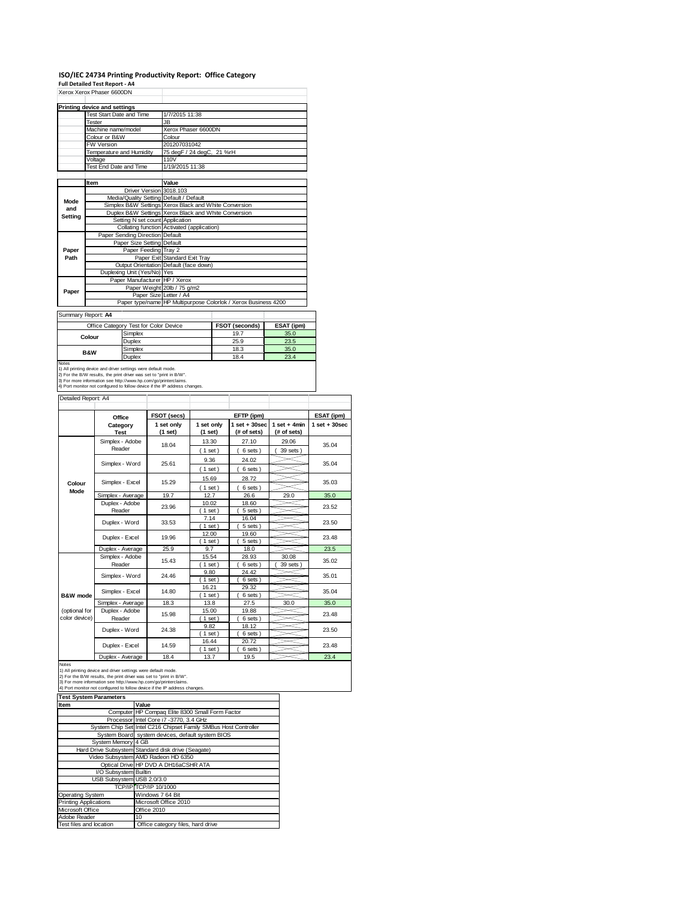# **ISO/IEC 24734 Printing Productivity Report: Office Category Full Detailed Test Report ‐ A4** Xerox Xerox Phaser 6600DN

| <b>Printing device and settings</b>     |                                                                                            |  |  |  |
|-----------------------------------------|--------------------------------------------------------------------------------------------|--|--|--|
| Test Start Date and Time                | 1/7/2015 11:38                                                                             |  |  |  |
| Tester                                  | JB.                                                                                        |  |  |  |
| Machine name/model                      | Xerox Phaser 6600DN                                                                        |  |  |  |
| Colour or B&W                           | Colour                                                                                     |  |  |  |
| <b>FW Version</b>                       | 201207031042                                                                               |  |  |  |
| Temperature and Humidity                | 75 degF / 24 degC, 21 %rH                                                                  |  |  |  |
| Voltage                                 | 110V                                                                                       |  |  |  |
|                                         | 1/19/2015 11:38                                                                            |  |  |  |
|                                         |                                                                                            |  |  |  |
| Item                                    | Value                                                                                      |  |  |  |
| Driver Version 3018.103                 |                                                                                            |  |  |  |
| Media/Quality Setting Default / Default |                                                                                            |  |  |  |
|                                         | Simplex B&W Settings Xerox Black and White Conversion                                      |  |  |  |
|                                         | Duplex B&W Settings Xerox Black and White Conversion                                       |  |  |  |
| Setting N set count Application         |                                                                                            |  |  |  |
|                                         | Collating function Activated (application)                                                 |  |  |  |
| Paper Sending Direction Default         |                                                                                            |  |  |  |
|                                         |                                                                                            |  |  |  |
| Paper Feeding Tray 2                    |                                                                                            |  |  |  |
|                                         | Paper Exit Standard Exit Tray                                                              |  |  |  |
|                                         | Output Orientation Default (face down)                                                     |  |  |  |
|                                         |                                                                                            |  |  |  |
| Paper Manufacturer HP / Xerox           |                                                                                            |  |  |  |
|                                         | Paper Weight 20lb / 75 g/m2                                                                |  |  |  |
| Paper Size Letter / A4                  |                                                                                            |  |  |  |
|                                         | Paper type/name HP Multipurpose Colorlok / Xerox Business 4200                             |  |  |  |
|                                         | <b>Test End Date and Time</b><br>Paper Size Setting Default<br>Duplexing Unit (Yes/No) Yes |  |  |  |

Summary Report: **A4**

|                                                                     | Office Category Test for Color Device                                      | <b>FSOT (seconds)</b> | ESAT (ipm) |  |  |  |
|---------------------------------------------------------------------|----------------------------------------------------------------------------|-----------------------|------------|--|--|--|
| Colour                                                              | Simplex                                                                    | 19.7                  | 35.0       |  |  |  |
|                                                                     | Duplex                                                                     | 25.9                  | 23.5       |  |  |  |
| <b>B&amp;W</b>                                                      | Simplex                                                                    | 18.3                  | 35.0       |  |  |  |
|                                                                     | Duplex                                                                     | 18.4                  | 23.4       |  |  |  |
| <b>Notes</b>                                                        |                                                                            |                       |            |  |  |  |
|                                                                     | 1) All printing device and driver settings were default mode.              |                       |            |  |  |  |
| 2) For the B/W results, the print driver was set to "print in B/W". |                                                                            |                       |            |  |  |  |
|                                                                     | 3) For more information see http://www.hp.com/go/printerclaims.            |                       |            |  |  |  |
|                                                                     | 4) Port monitor not configured to follow device if the IP address changes. |                       |            |  |  |  |

|                                | Office                                                                                                                                                                                                                                                                                | FSOT (secs)           |                       | ESAT (ipm)                      |                               |                  |
|--------------------------------|---------------------------------------------------------------------------------------------------------------------------------------------------------------------------------------------------------------------------------------------------------------------------------------|-----------------------|-----------------------|---------------------------------|-------------------------------|------------------|
|                                | Category<br><b>Test</b>                                                                                                                                                                                                                                                               | 1 set only<br>(1 set) | 1 set only<br>(1 set) | $1 set + 30 sec$<br>(# of sets) | $1$ set + 4min<br>(# of sets) | $1 set + 30 sec$ |
|                                | Simplex - Adobe<br>Reader                                                                                                                                                                                                                                                             | 18.04                 | 13.30<br>(1 set)      | 27.10<br>6 sets)                | 29.06<br>39 sets              | 35.04            |
|                                | Simplex - Word                                                                                                                                                                                                                                                                        | 25.61                 | 9.36<br>$1$ set)      | 24.02<br>6 sets)                |                               | 35.04            |
| Colour                         | Simplex - Excel                                                                                                                                                                                                                                                                       | 15.29                 | 15.69<br>(1 set)      | 28.72<br>6 sets)                |                               | 35.03            |
| Mode                           | Simplex - Average                                                                                                                                                                                                                                                                     | 19.7                  | 12.7                  | 26.6                            | 29.0                          | 35.0             |
|                                | Duplex - Adobe<br>Reader                                                                                                                                                                                                                                                              | 23.96                 | 10.02<br>(1 set)      | 18.60<br>5 sets)                |                               | 23.52            |
|                                | Duplex - Word                                                                                                                                                                                                                                                                         | 33.53                 | 7.14<br>$1$ set       | 16.04<br>5 sets)                |                               | 23.50            |
|                                | Duplex - Excel<br>19.96                                                                                                                                                                                                                                                               | 12.00<br>$1$ set)     | 19.60<br>5 sets)      |                                 | 23.48                         |                  |
|                                | Duplex - Average                                                                                                                                                                                                                                                                      | 25.9                  | 9.7                   | 18.0                            |                               | 23.5             |
|                                | Simplex - Adobe<br>Reader                                                                                                                                                                                                                                                             | 15.43                 | 15.54<br>$1$ set)     | 28.93<br>6 sets)                | 30.08<br>39 sets              | 35.02            |
|                                | Simplex - Word                                                                                                                                                                                                                                                                        | 24.46                 | 9.80<br>(1 set)       | 24.42<br>6 sets)                |                               | 35.01            |
| <b>B&amp;W</b> mode            | Simplex - Excel                                                                                                                                                                                                                                                                       | 14.80                 | 16.21<br>$1$ set      | 29.32<br>6 sets                 |                               | 35.04            |
|                                | Simplex - Average                                                                                                                                                                                                                                                                     | 18.3                  | 13.8                  | 27.5                            | 30.0                          | 35.0             |
| (optional for<br>color device) | Duplex - Adobe<br>Reader                                                                                                                                                                                                                                                              | 15.98                 | 15.00<br>$1$ set)     | 19.88<br>6 sets)                |                               | 23.48            |
|                                | Duplex - Word                                                                                                                                                                                                                                                                         | 24.38                 | 9.82<br>$1$ set)      | 18.12<br>6 sets)                |                               | 23.50            |
|                                | Duplex - Excel                                                                                                                                                                                                                                                                        | 14.59                 | 16.44<br>$1$ set)     | 20.72<br>6 sets)                |                               | 23.48            |
|                                | Duplex - Average                                                                                                                                                                                                                                                                      | 18.4                  | 13.7                  | 19.5                            |                               | 23.4             |
| Notes                          | 1) All printing device and driver settings were default mode.<br>2) For the B/W results, the print driver was set to "print in B/W".<br>3) For more information see http://www.hp.com/go/printerclaims.<br>4) Port monitor not configured to follow device if the IP address changes. |                       |                       |                                 |                               |                  |

| rest System Parameters       |                                                                 |  |
|------------------------------|-----------------------------------------------------------------|--|
| Item                         | Value                                                           |  |
|                              | Computer HP Compaq Elite 8300 Small Form Factor                 |  |
|                              | Processor Intel Core i7 -3770, 3.4 GHz                          |  |
|                              | System Chip Set Intel C216 Chipset Family SMBus Host Controller |  |
|                              | System Board system devices, default system BIOS                |  |
| System Memory 4 GB           |                                                                 |  |
|                              | Hard Drive Subsystem Standard disk drive (Seagate)              |  |
|                              | Video Subsystem AMD Radeon HD 6350                              |  |
|                              | Optical Drive HP DVD A DH16aCSHR ATA                            |  |
| I/O Subsystem Builtin        |                                                                 |  |
| USB Subsystem USB 2.0/3.0    |                                                                 |  |
|                              | TCP/IP TCP/IP 10/1000                                           |  |
| Operating System             | Windows 7 64 Bit                                                |  |
| <b>Printing Applications</b> | Microsoft Office 2010                                           |  |
| Microsoft Office             | Office 2010                                                     |  |
| Adobe Reader                 | 10 <sup>1</sup>                                                 |  |
| Test files and location      | Office category files, hard drive                               |  |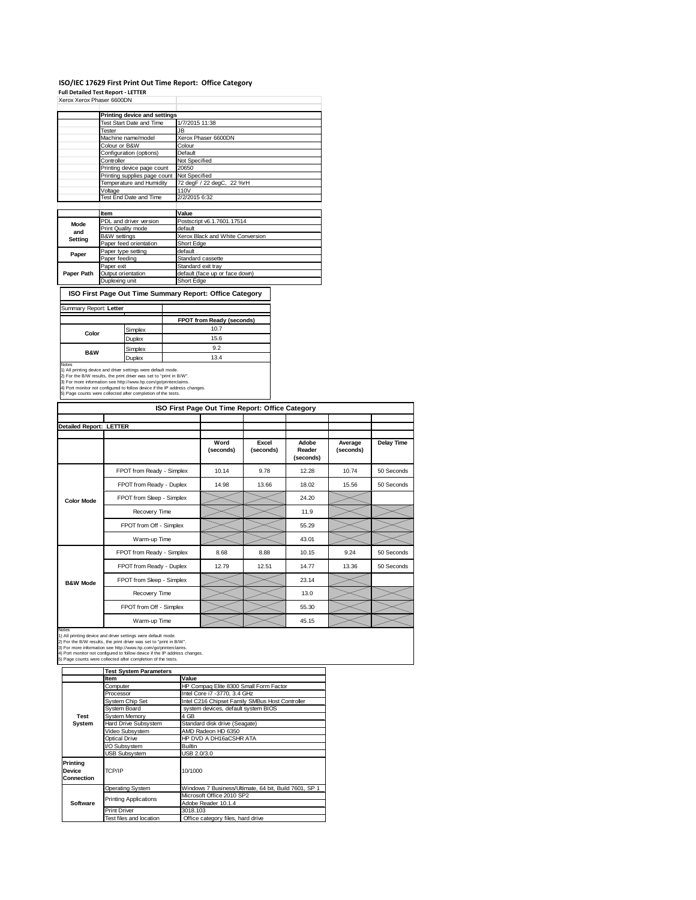## **ISO/IEC 17629 First Print Out Time Report: Office Category**

**Full Detailed Test Report ‐ LETTER** Xerox Xerox Phaser 6600DN

|            | Printing device and settings    |                                  |
|------------|---------------------------------|----------------------------------|
|            | <b>Test Start Date and Time</b> | 1/7/2015 11:38                   |
|            | Tester                          | JB.                              |
|            | Machine name/model              | Xerox Phaser 6600DN              |
|            | Colour or B&W                   | Colour                           |
|            | Configuration (options)         | Default                          |
|            | Controller                      | Not Specified                    |
|            | Printing device page count      | 20650                            |
|            | Printing supplies page count    | Not Specified                    |
|            | Temperature and Humidity        | 72 degF / 22 degC, 22 %rH        |
|            | Voltage                         | 110V                             |
|            | Test End Date and Time          | 2/2/2015 6:32                    |
|            |                                 |                                  |
|            | Item                            | Value                            |
| Mode       | PDL and driver version          | Postscript v6.1.7601.17514       |
| and        | Print Quality mode              | default                          |
| Setting    | <b>B&amp;W</b> settings         | Xerox Black and White Conversion |
|            | Paper feed orientation          | Short Edge                       |
| Paper      | Paper type setting              | default                          |
|            | Paper feeding                   | Standard cassette                |
|            | Paper exit                      | Standard exit tray               |
| Paper Path | Output orientation              | default (face up or face down)   |
|            | Duplexing unit                  | Short Edge                       |

 $\lceil$ **ISO First Page Out Time Summary Report: Office Category**

|                |               | FPOT from Ready (seconds) |
|----------------|---------------|---------------------------|
|                | Simplex       | 10.7                      |
| Color          | <b>Duplex</b> | 15.6                      |
| <b>B&amp;W</b> | Simplex       | 9.2                       |
|                | <b>Duplex</b> | 13.4                      |

2) For the B/W results, the print driver was set to "print in B/W".<br>3) For more information see http://www.hp.com/go/printerclaims.<br>4) Port monitor not configured to follow device if the IP address changes.<br>5) Page counts

| ISO First Page Out Time Report: Office Category |                           |                   |                    |                              |                      |            |
|-------------------------------------------------|---------------------------|-------------------|--------------------|------------------------------|----------------------|------------|
|                                                 |                           |                   |                    |                              |                      |            |
| <b>Detailed Report: LETTER</b>                  |                           |                   |                    |                              |                      |            |
|                                                 |                           | Word<br>(seconds) | Excel<br>(seconds) | Adobe<br>Reader<br>(seconds) | Average<br>(seconds) | Delay Time |
|                                                 | FPOT from Ready - Simplex | 10.14             | 9.78               | 12.28                        | 10.74                | 50 Seconds |
|                                                 | FPOT from Ready - Duplex  | 14.98             | 13.66              | 18.02                        | 15.56                | 50 Seconds |
| <b>Color Mode</b>                               | FPOT from Sleep - Simplex |                   |                    | 24.20                        |                      |            |
|                                                 | Recovery Time             |                   |                    | 11.9                         |                      |            |
|                                                 | FPOT from Off - Simplex   |                   |                    | 55.29                        |                      |            |
|                                                 | Warm-up Time              |                   |                    | 43.01                        |                      |            |
|                                                 | FPOT from Ready - Simplex | 8.68              | 8.88               | 10.15                        | 9.24                 | 50 Seconds |
|                                                 | FPOT from Ready - Duplex  | 12.79             | 12.51              | 14.77                        | 13.36                | 50 Seconds |
| <b>B&amp;W Mode</b>                             | FPOT from Sleep - Simplex |                   |                    | 23.14                        |                      |            |
|                                                 | Recovery Time             |                   |                    | 13.0                         |                      |            |
|                                                 | FPOT from Off - Simplex   |                   |                    | 55.30                        |                      |            |
|                                                 | Warm-up Time              |                   |                    | 45.15                        |                      |            |

Notes<br>1) All printing device and driver settings were default mode.<br>2) For the B/W results, the print driver was set to "print in B/W".<br>3) For more information see http://www.hp.com/go/printerclaims.<br>4) Port monitor not co

|                                  | <b>Test System Parameters</b> |                                                       |  |
|----------------------------------|-------------------------------|-------------------------------------------------------|--|
|                                  | <b>Item</b>                   | Value                                                 |  |
|                                  | Computer                      | HP Compag Elite 8300 Small Form Factor                |  |
|                                  | Processor                     | Intel Core i7 -3770, 3.4 GHz                          |  |
|                                  | System Chip Set               | Intel C216 Chipset Family SMBus Host Controller       |  |
|                                  | System Board                  | system devices, default system BIOS                   |  |
| Test                             | <b>System Memory</b>          | 4 GB                                                  |  |
| System                           | Hard Drive Subsystem          | Standard disk drive (Seagate)                         |  |
|                                  | Video Subsystem               | AMD Radeon HD 6350                                    |  |
|                                  | Optical Drive                 | HP DVD A DH16aCSHR ATA                                |  |
|                                  | I/O Subsystem                 | Builtin                                               |  |
|                                  | <b>USB Subsystem</b>          | USB 2.0/3.0                                           |  |
| Printina<br>Device<br>Connection | TCP/IP                        | 10/1000                                               |  |
|                                  | <b>Operating System</b>       | Windows 7 Business/Ultimate, 64 bit, Build 7601, SP 1 |  |
|                                  | <b>Printing Applications</b>  | Microsoft Office 2010 SP2                             |  |
| Software                         |                               | Adobe Reader 10.1.4                                   |  |
|                                  | <b>Print Driver</b>           | 3018.103                                              |  |
|                                  | Test files and location       | Office category files, hard drive                     |  |